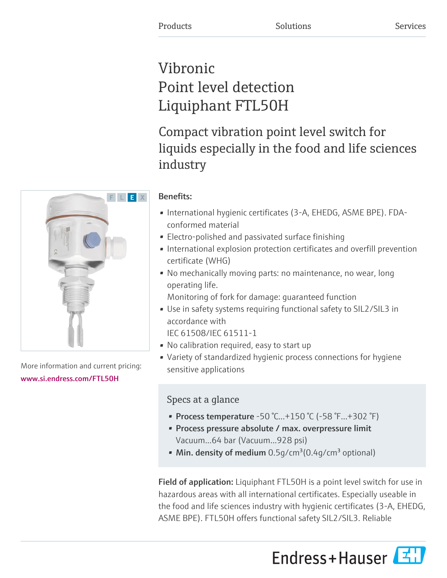# Vibronic Point level detection Liquiphant FTL50H

Compact vibration point level switch for liquids especially in the food and life sciences industry

# Benefits:

- International hygienic certificates (3-A, EHEDG, ASME BPE). FDAconformed material
- Electro-polished and passivated surface finishing
- International explosion protection certificates and overfill prevention certificate (WHG)
- No mechanically moving parts: no maintenance, no wear, long operating life.

Monitoring of fork for damage: guaranteed function

- Use in safety systems requiring functional safety to SIL2/SIL3 in accordance with
	- IEC 61508/IEC 61511-1
- No calibration required, easy to start up
- Variety of standardized hygienic process connections for hygiene sensitive applications

# Specs at a glance

- Process temperature -50 °C...+150 °C (-58 °F...+302 °F)
- Process pressure absolute / max. overpressure limit Vacuum...64 bar (Vacuum...928 psi)
- Min. density of medium  $0.5$ g/cm<sup>3</sup>(0.4g/cm<sup>3</sup> optional)

Field of application: Liquiphant FTL50H is a point level switch for use in hazardous areas with all international certificates. Especially useable in the food and life sciences industry with hygienic certificates (3-A, EHEDG, ASME BPE). FTL50H offers functional safety SIL2/SIL3. Reliable





More information and current pricing: [www.si.endress.com/FTL50H](https://www.si.endress.com/FTL50H)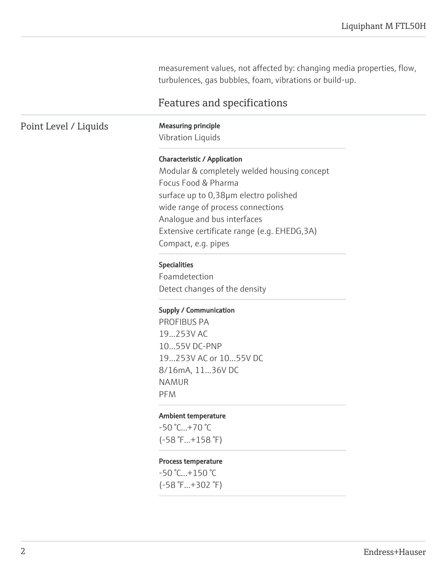measurement values, not affected by: changing media properties, flow, turbulences, gas bubbles, foam, vibrations or build-up.

# Features and specifications

### Point Level / Liquids Measuring principle

Vibration Liquids

#### Characteristic / Application

Modular & completely welded housing concept Focus Food & Pharma surface up to 0,38µm electro polished wide range of process connections Analogue and bus interfaces Extensive certificate range (e.g. EHEDG,3A) Compact, e.g. pipes

#### Specialities

Foamdetection Detect changes of the density

#### Supply / Communication

PROFIBUS PA 19...253V AC 10...55V DC-PNP 19...253V AC or 10...55V DC 8/16mA, 11...36V DC NAMUR PFM

#### Ambient temperature

-50 °C...+70 °C (-58 °F...+158 °F)

#### Process temperature

-50 °C...+150 °C (-58 °F...+302 °F)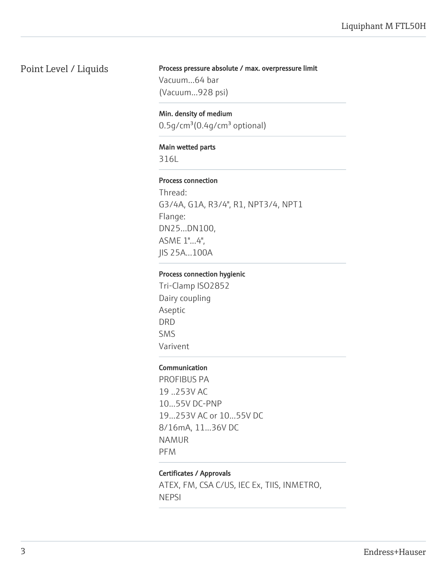# Point Level / Liquids

# Process pressure absolute / max. overpressure limit

Vacuum...64 bar (Vacuum...928 psi)

Min. density of medium  $0.5$ g/cm $3(0.4$ g/cm $3$  optional)

#### Main wetted parts

316L

#### Process connection

Thread: G3/4A, G1A, R3/4", R1, NPT3/4, NPT1 Flange: DN25...DN100, ASME 1"...4", JIS 25A...100A

#### Process connection hygienic

Tri-Clamp ISO2852 Dairy coupling Aseptic DRD SMS Varivent

#### Communication

PROFIBUS PA 19 ..253V AC 10...55V DC-PNP 19...253V AC or 10...55V DC 8/16mA, 11...36V DC NAMUR PFM

#### Certificates / Approvals

ATEX, FM, CSA C/US, IEC Ex, TIIS, INMETRO, NEPSI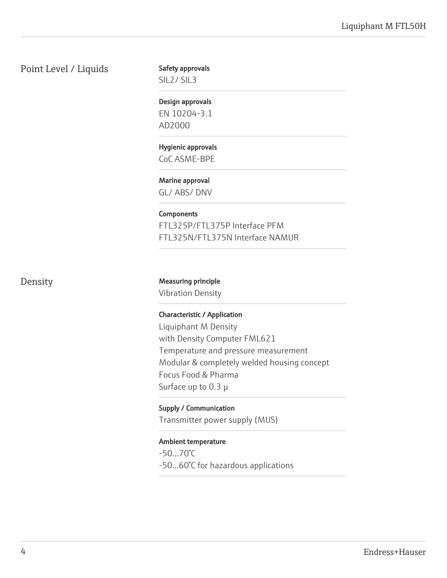Point Level / Liquids

#### Safety approvals

SIL2/ SIL3

## Design approvals

EN 10204-3.1 AD2000

#### Hygienic approvals CoC ASME-BPE

Marine approval

GL/ ABS/ DNV

# **Components**

FTL325P/FTL375P Interface PFM FTL325N/FTL375N Interface NAMUR

# Density Measuring principle

Vibration Density

#### Characteristic / Application

Liquiphant M Density with Density Computer FML621 Temperature and pressure measurement Modular & completely welded housing concept Focus Food & Pharma Surface up to 0.3 µ

# Supply / Communication

Transmitter power supply (MUS)

#### Ambient temperature

-50...70°C -50...60°C for hazardous applications